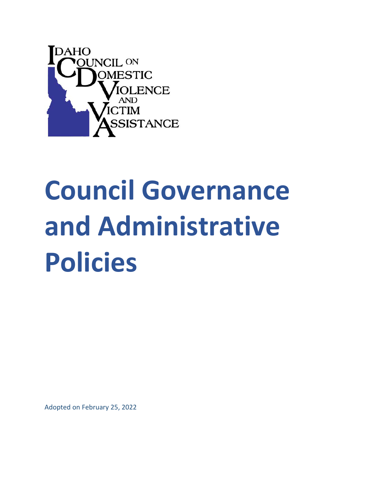

# **Council Governance and Administrative Policies**

Adopted on February 25, 2022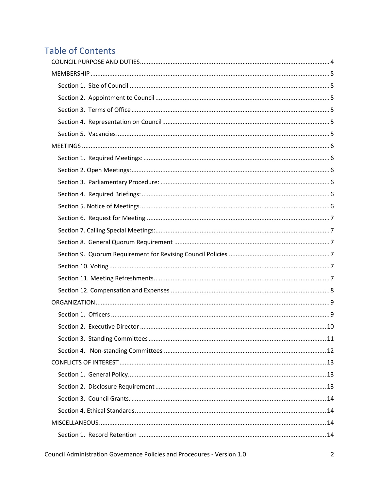# **Table of Contents**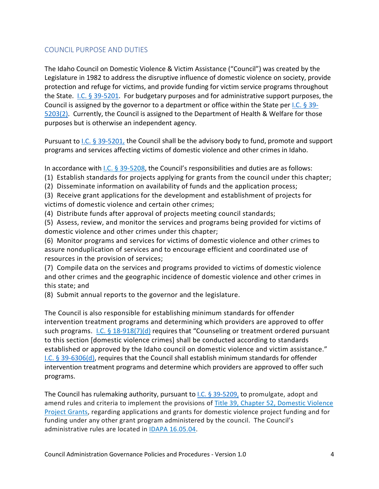# <span id="page-3-0"></span>COUNCIL PURPOSE AND DUTIES

The Idaho Council on Domestic Violence & Victim Assistance ("Council") was created by the Legislature in 1982 to address the disruptive influence of domestic violence on society, provide protection and refuge for victims, and provide funding for victim service programs throughout the State.  $1.C. \S 39-5201$ . For budgetary purposes and for administrative support purposes, the Council is assigned by the governor to a department or office within the State per *I.C.* § 39-[5203\(2\).](https://legislature.idaho.gov/statutesrules/idstat/title39/t39ch52/sect39-5203/) Currently, the Council is assigned to the Department of Health & Welfare for those purposes but is otherwise an independent agency.

Pursuant to [I.C. § 39-5201,](https://legislature.idaho.gov/statutesrules/idstat/title39/t39ch52/sect39-5201/) the Council shall be the advisory body to fund, promote and support programs and services affecting victims of domestic violence and other crimes in Idaho.

In accordance with [I.C. § 39-5208,](https://legislature.idaho.gov/statutesrules/idstat/Title39/T39CH52/SECT39-5208/) the Council's responsibilities and duties are as follows:

- (1) Establish standards for projects applying for grants from the council under this chapter;
- (2) Disseminate information on availability of funds and the application process;
- (3) Receive grant applications for the development and establishment of projects for victims of domestic violence and certain other crimes;
- (4) Distribute funds after approval of projects meeting council standards;

(5) Assess, review, and monitor the services and programs being provided for victims of domestic violence and other crimes under this chapter;

(6) Monitor programs and services for victims of domestic violence and other crimes to assure nonduplication of services and to encourage efficient and coordinated use of resources in the provision of services;

(7) Compile data on the services and programs provided to victims of domestic violence and other crimes and the geographic incidence of domestic violence and other crimes in this state; and

(8) Submit annual reports to the governor and the legislature.

The Council is also responsible for establishing minimum standards for offender intervention treatment programs and determining which providers are approved to offer such programs.  $I.C. \$ § 18-918(7)(d) requires that "Counseling or treatment ordered pursuant to this section [domestic violence crimes] shall be conducted according to standards established or approved by the Idaho council on domestic violence and victim assistance." [I.C. § 39-6306\(d\),](https://legislature.idaho.gov/statutesrules/idstat/Title39/T39CH63/SECT39-6306/) requires that the Council shall establish minimum standards for offender intervention treatment programs and determine which providers are approved to offer such programs.

The Council has rulemaking authority, pursuant to [I.C. § 39-5209,](https://legislature.idaho.gov/statutesrules/idstat/Title39/T39CH52/SECT39-5209/) to promulgate, adopt and amend rules and criteria to implement the provisions of Title 39, [Chapter 52, Domestic Violence](https://legislature.idaho.gov/statutesrules/idstat/title39/t39ch52/)  [Project Grants,](https://legislature.idaho.gov/statutesrules/idstat/title39/t39ch52/) regarding applications and grants for domestic violence project funding and for funding under any other grant program administered by the council. The Council's administrative rules are located in [IDAPA 16.05.04.](https://adminrules.idaho.gov/rules/current/16/160504.pdf)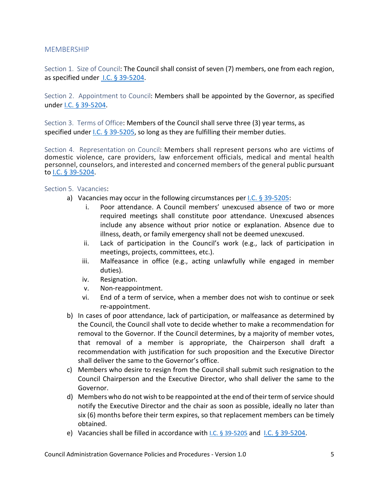# <span id="page-4-0"></span>**MEMBERSHIP**

<span id="page-4-1"></span>Section 1. Size of Council: The Council shall consist of seven (7) members, one from each region, as specified under [I.C. § 39-5204.](https://legislature.idaho.gov/statutesrules/idstat/Title39/T39CH52/SECT39-5204/)

<span id="page-4-2"></span>Section 2. Appointment to Council: Members shall be appointed by the Governor, as specified under I.C. [§ 39-5204.](https://legislature.idaho.gov/statutesrules/idstat/Title39/T39CH52/SECT39-5204/)

<span id="page-4-3"></span>Section 3. Terms of Office: Members of the Council shall serve three (3) year terms, as specified under [I.C. § 39-5205,](https://legislature.idaho.gov/statutesrules/idstat/Title39/T39CH52/SECT39-5205/) so long as they are fulfilling their member duties.

<span id="page-4-4"></span>Section 4. Representation on Council: Members shall represent persons who are victims of domestic violence, care providers, law enforcement officials, medical and mental health personnel, counselors, and interested and concerned members of the general public pursuant to I.C. [§ 39-5204.](https://legislature.idaho.gov/statutesrules/idstat/Title39/T39CH52/SECT39-5204/)

#### <span id="page-4-5"></span>Section 5. Vacancies:

- a) Vacancies may occur in the following circumstances per I.C. [§ 39-5205:](https://legislature.idaho.gov/statutesrules/idstat/Title39/T39CH52/SECT39-5205/)
	- i. Poor attendance. A Council members' unexcused absence of two or more required meetings shall constitute poor attendance. Unexcused absences include any absence without prior notice or explanation. Absence due to illness, death, or family emergency shall not be deemed unexcused.
	- ii. Lack of participation in the Council's work (e.g., lack of participation in meetings, projects, committees, etc.).
	- iii. Malfeasance in office (e.g., acting unlawfully while engaged in member duties).
	- iv. Resignation.
	- v. Non-reappointment.
	- vi. End of a term of service, when a member does not wish to continue or seek re-appointment.
- b) In cases of poor attendance, lack of participation, or malfeasance as determined by the Council, the Council shall vote to decide whether to make a recommendation for removal to the Governor. If the Council determines, by a majority of member votes, that removal of a member is appropriate, the Chairperson shall draft a recommendation with justification for such proposition and the Executive Director shall deliver the same to the Governor's office.
- c) Members who desire to resign from the Council shall submit such resignation to the Council Chairperson and the Executive Director, who shall deliver the same to the Governor.
- d) Members who do not wish to be reappointed at the end of their term of service should notify the Executive Director and the chair as soon as possible, ideally no later than six (6) months before their term expires, so that replacement members can be timely obtained.
- e) Vacancies shall be filled in accordance with [I.C. § 39-5205](https://legislature.idaho.gov/statutesrules/idstat/Title39/T39CH52/SECT39-5205/) and [I.C. § 39-5204.](https://legislature.idaho.gov/statutesrules/idstat/Title39/T39CH52/SECT39-5204/)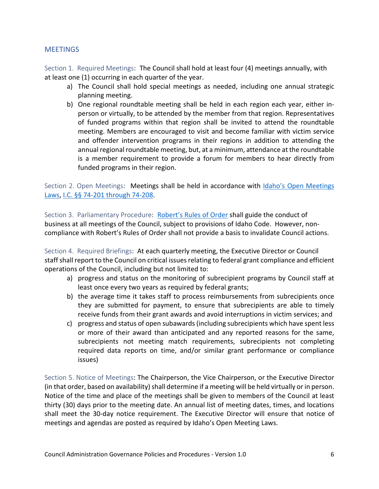# <span id="page-5-0"></span>**MEETINGS**

<span id="page-5-1"></span>Section 1. Required Meetings: The Council shall hold at least four (4) meetings annually, with at least one (1) occurring in each quarter of the year.

- a) The Council shall hold special meetings as needed, including one annual strategic planning meeting.
- b) One regional roundtable meeting shall be held in each region each year, either inperson or virtually, to be attended by the member from that region. Representatives of funded programs within that region shall be invited to attend the roundtable meeting. Members are encouraged to visit and become familiar with victim service and offender intervention programs in their regions in addition to attending the annual regional roundtable meeting, but, at a minimum, attendance at the roundtable is a member requirement to provide a forum for members to hear directly from funded programs in their region.

<span id="page-5-2"></span>Section 2. Open Meetings: Meetings shall be held in accordance with [Idaho's Open Meetings](https://legislature.idaho.gov/statutesrules/idstat/Title74/T74CH2/)  [Laws,](https://legislature.idaho.gov/statutesrules/idstat/Title74/T74CH2/) [I.C. §§ 74-201 through 74-208.](https://legislature.idaho.gov/statutesrules/idstat/Title74/T74CH2/)

<span id="page-5-3"></span>Section 3. Parliamentary Procedure: [Robert's Rules of Order](https://www.ulm.edu/staffsenate/documents/roberts-rules-of-order.pdf) shall guide the conduct of business at all meetings of the Council, subject to provisions of Idaho Code. However, noncompliance with Robert's Rules of Order shall not provide a basis to invalidate Council actions.

<span id="page-5-4"></span>Section 4. Required Briefings: At each quarterly meeting, the Executive Director or Council staff shall report to the Council on critical issues relating to federal grant compliance and efficient operations of the Council, including but not limited to:

- a) progress and status on the monitoring of subrecipient programs by Council staff at least once every two years as required by federal grants;
- b) the average time it takes staff to process reimbursements from subrecipients once they are submitted for payment, to ensure that subrecipients are able to timely receive funds from their grant awards and avoid interruptions in victim services; and
- c) progress and status of open subawards (including subrecipients which have spent less or more of their award than anticipated and any reported reasons for the same, subrecipients not meeting match requirements, subrecipients not completing required data reports on time, and/or similar grant performance or compliance issues)

<span id="page-5-5"></span>Section 5. Notice of Meetings: The Chairperson, the Vice Chairperson, or the Executive Director (in that order, based on availability) shall determine if a meeting will be held virtually or in person. Notice of the time and place of the meetings shall be given to members of the Council at least thirty (30) days prior to the meeting date. An annual list of meeting dates, times, and locations shall meet the 30-day notice requirement. The Executive Director will ensure that notice of meetings and agendas are posted as required by Idaho's Open Meeting Laws.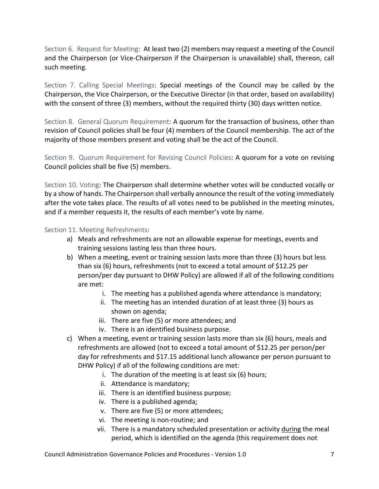<span id="page-6-0"></span>Section 6. Request for Meeting: At least two (2) members may request a meeting of the Council and the Chairperson (or Vice-Chairperson if the Chairperson is unavailable) shall, thereon, call such meeting.

<span id="page-6-1"></span>Section 7. Calling Special Meetings: Special meetings of the Council may be called by the Chairperson, the Vice Chairperson, or the Executive Director (in that order, based on availability) with the consent of three (3) members, without the required thirty (30) days written notice.

<span id="page-6-2"></span>Section 8. General Quorum Requirement: A quorum for the transaction of business, other than revision of Council policies shall be four (4) members of the Council membership. The act of the majority of those members present and voting shall be the act of the Council.

<span id="page-6-3"></span>Section 9. Quorum Requirement for Revising Council Policies: A quorum for a vote on revising Council policies shall be five (5) members.

<span id="page-6-4"></span>Section 10. Voting: The Chairperson shall determine whether votes will be conducted vocally or by a show of hands. The Chairperson shall verbally announce the result of the voting immediately after the vote takes place. The results of all votes need to be published in the meeting minutes, and if a member requests it, the results of each member's vote by name.

#### <span id="page-6-5"></span>Section 11. Meeting Refreshments:

- a) Meals and refreshments are not an allowable expense for meetings, events and training sessions lasting less than three hours.
- b) When a meeting, event or training session lasts more than three (3) hours but less than six (6) hours, refreshments (not to exceed a total amount of \$12.25 per person/per day pursuant to DHW Policy) are allowed if all of the following conditions are met:
	- i. The meeting has a published agenda where attendance is mandatory;
	- ii. The meeting has an intended duration of at least three (3) hours as shown on agenda;
	- iii. There are five (5) or more attendees; and
	- iv. There is an identified business purpose.
- c) When a meeting, event or training session lasts more than six (6) hours, meals and refreshments are allowed (not to exceed a total amount of \$12.25 per person/per day for refreshments and \$17.15 additional lunch allowance per person pursuant to DHW Policy) if all of the following conditions are met:
	- i. The duration of the meeting is at least six (6) hours;
	- ii. Attendance is mandatory;
	- iii. There is an identified business purpose;
	- iv. There is a published agenda;
	- v. There are five (5) or more attendees;
	- vi. The meeting is non-routine; and
	- vii. There is a mandatory scheduled presentation or activity during the meal period, which is identified on the agenda (this requirement does not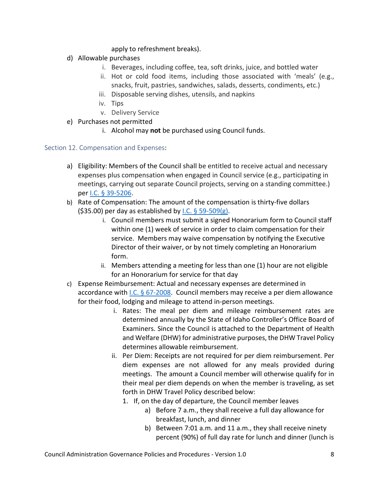apply to refreshment breaks).

- d) Allowable purchases
	- i. Beverages, including coffee, tea, soft drinks, juice, and bottled water
	- ii. Hot or cold food items, including those associated with 'meals' (e.g., snacks, fruit, pastries, sandwiches, salads, desserts, condiments, etc.)
	- iii. Disposable serving dishes, utensils, and napkins
	- iv. Tips
	- v. Delivery Service
- e) Purchases not permitted
	- i. Alcohol may **not** be purchased using Council funds.

# <span id="page-7-0"></span>Section 12. Compensation and Expenses:

- a) Eligibility: Members of the Council shall be entitled to receive actual and necessary expenses plus compensation when engaged in Council service (e.g., participating in meetings, carrying out separate Council projects, serving on a standing committee.) per [I.C. § 39-5206.](https://legislature.idaho.gov/statutesrules/idstat/Title39/T39CH52/SECT39-5206/)
- b) Rate of Compensation: The amount of the compensation is thirty-five dollars  $(535.00)$  per day as established by [I.C. § 59-509\(g\).](https://legislature.idaho.gov/statutesrules/idstat/Title59/T59CH5/SECT59-509/)
	- i. Council members must submit a signed Honorarium form to Council staff within one (1) week of service in order to claim compensation for their service. Members may waive compensation by notifying the Executive Director of their waiver, or by not timely completing an Honorarium form.
	- ii. Members attending a meeting for less than one (1) hour are not eligible for an Honorarium for service for that day
- c) Expense Reimbursement: Actual and necessary expenses are determined in accordance with I.C.  $\S 67-2008$ . Council members may receive a per diem allowance for their food, lodging and mileage to attend in-person meetings.
	- i. Rates: The meal per diem and mileage reimbursement rates are determined annually by the State of Idaho Controller's Office Board of Examiners. Since the Council is attached to the Department of Health and Welfare (DHW) for administrative purposes, the DHW Travel Policy determines allowable reimbursement.
	- ii. Per Diem: Receipts are not required for per diem reimbursement. Per diem expenses are not allowed for any meals provided during meetings. The amount a Council member will otherwise qualify for in their meal per diem depends on when the member is traveling, as set forth in DHW Travel Policy described below:
		- 1. If, on the day of departure, the Council member leaves
			- a) Before 7 a.m., they shall receive a full day allowance for breakfast, lunch, and dinner
			- b) Between 7:01 a.m. and 11 a.m., they shall receive ninety percent (90%) of full day rate for lunch and dinner (lunch is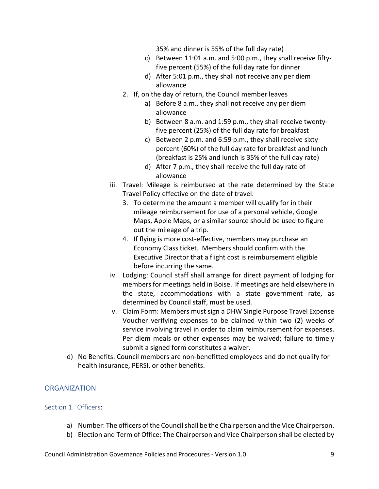35% and dinner is 55% of the full day rate)

- c) Between 11:01 a.m. and 5:00 p.m., they shall receive fiftyfive percent (55%) of the full day rate for dinner
- d) After 5:01 p.m., they shall not receive any per diem allowance
- 2. If, on the day of return, the Council member leaves
	- a) Before 8 a.m., they shall not receive any per diem allowance
	- b) Between 8 a.m. and 1:59 p.m., they shall receive twentyfive percent (25%) of the full day rate for breakfast
	- c) Between 2 p.m. and 6:59 p.m., they shall receive sixty percent (60%) of the full day rate for breakfast and lunch (breakfast is 25% and lunch is 35% of the full day rate)
	- d) After 7 p.m., they shall receive the full day rate of allowance
- iii. Travel: Mileage is reimbursed at the rate determined by the State Travel Policy effective on the date of travel.
	- 3. To determine the amount a member will qualify for in their mileage reimbursement for use of a personal vehicle, Google Maps, Apple Maps, or a similar source should be used to figure out the mileage of a trip.
	- 4. If flying is more cost-effective, members may purchase an Economy Class ticket. Members should confirm with the Executive Director that a flight cost is reimbursement eligible before incurring the same.
- iv. Lodging: Council staff shall arrange for direct payment of lodging for members for meetings held in Boise. If meetings are held elsewhere in the state, accommodations with a state government rate, as determined by Council staff, must be used.
- v. Claim Form: Members must sign a DHW Single Purpose Travel Expense Voucher verifying expenses to be claimed within two (2) weeks of service involving travel in order to claim reimbursement for expenses. Per diem meals or other expenses may be waived; failure to timely submit a signed form constitutes a waiver.
- d) No Benefits: Council members are non-benefitted employees and do not qualify for health insurance, PERSI, or other benefits.

# <span id="page-8-0"></span>**ORGANIZATION**

#### <span id="page-8-1"></span>Section 1. Officers:

- a) Number: The officers of the Council shall be the Chairperson and the Vice Chairperson.
- b) Election and Term of Office: The Chairperson and Vice Chairperson shall be elected by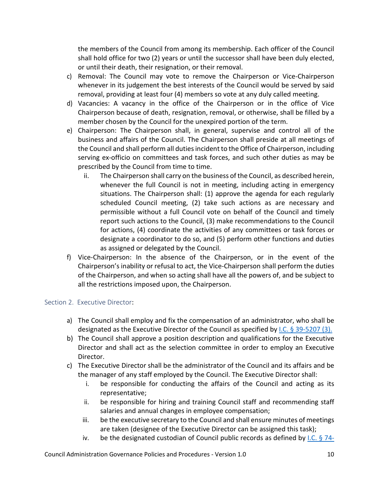the members of the Council from among its membership. Each officer of the Council shall hold office for two (2) years or until the successor shall have been duly elected, or until their death, their resignation, or their removal.

- c) Removal: The Council may vote to remove the Chairperson or Vice-Chairperson whenever in its judgement the best interests of the Council would be served by said removal, providing at least four (4) members so vote at any duly called meeting.
- d) Vacancies: A vacancy in the office of the Chairperson or in the office of Vice Chairperson because of death, resignation, removal, or otherwise, shall be filled by a member chosen by the Council for the unexpired portion of the term.
- e) Chairperson: The Chairperson shall, in general, supervise and control all of the business and affairs of the Council. The Chairperson shall preside at all meetings of the Council and shall perform all duties incident to the Office of Chairperson, including serving ex-officio on committees and task forces, and such other duties as may be prescribed by the Council from time to time.
	- ii. The Chairperson shall carry on the business of the Council, as described herein, whenever the full Council is not in meeting, including acting in emergency situations. The Chairperson shall: (1) approve the agenda for each regularly scheduled Council meeting, (2) take such actions as are necessary and permissible without a full Council vote on behalf of the Council and timely report such actions to the Council, (3) make recommendations to the Council for actions, (4) coordinate the activities of any committees or task forces or designate a coordinator to do so, and (5) perform other functions and duties as assigned or delegated by the Council.
- f) Vice-Chairperson: In the absence of the Chairperson, or in the event of the Chairperson's inability or refusal to act, the Vice-Chairperson shall perform the duties of the Chairperson, and when so acting shall have all the powers of, and be subject to all the restrictions imposed upon, the Chairperson.

# <span id="page-9-0"></span>Section 2. Executive Director:

- a) The Council shall employ and fix the compensation of an administrator, who shall be designated as the Executive Director of the Council as specified b[y I.C. § 39-5207 \(3\).](https://legislature.idaho.gov/statutesrules/idstat/Title39/T39CH52/SECT39-5207/)
- b) The Council shall approve a position description and qualifications for the Executive Director and shall act as the selection committee in order to employ an Executive Director.
- c) The Executive Director shall be the administrator of the Council and its affairs and be the manager of any staff employed by the Council. The Executive Director shall:
	- i. be responsible for conducting the affairs of the Council and acting as its representative;
	- ii. be responsible for hiring and training Council staff and recommending staff salaries and annual changes in employee compensation;
	- iii. be the executive secretary to the Council and shall ensure minutes of meetings are taken (designee of the Executive Director can be assigned this task);
	- iv. be the designated custodian of Council public records as defined by  $LC.$  § 74-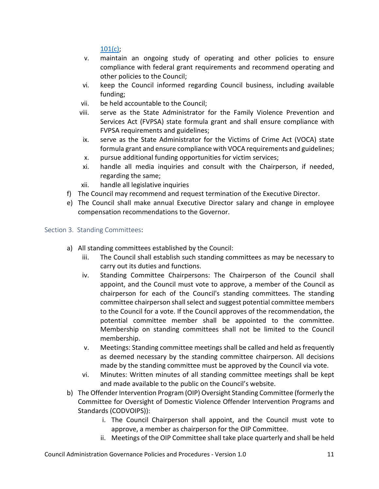[101\(c\);](https://legislature.idaho.gov/statutesrules/idstat/title74/t74ch1/sect74-101/)

- v. maintain an ongoing study of operating and other policies to ensure compliance with federal grant requirements and recommend operating and other policies to the Council;
- vi. keep the Council informed regarding Council business, including available funding;
- vii. be held accountable to the Council;
- viii. serve as the State Administrator for the Family Violence Prevention and Services Act (FVPSA) state formula grant and shall ensure compliance with FVPSA requirements and guidelines;
- ix. serve as the State Administrator for the Victims of Crime Act (VOCA) state formula grant and ensure compliance with VOCA requirements and guidelines;
- x. pursue additional funding opportunities for victim services;
- xi. handle all media inquiries and consult with the Chairperson, if needed, regarding the same;
- xii. handle all legislative inquiries
- f) The Council may recommend and request termination of the Executive Director.
- e) The Council shall make annual Executive Director salary and change in employee compensation recommendations to the Governor.

# <span id="page-10-0"></span>Section 3. Standing Committees:

- a) All standing committees established by the Council:
	- iii. The Council shall establish such standing committees as may be necessary to carry out its duties and functions.
	- iv. Standing Committee Chairpersons: The Chairperson of the Council shall appoint, and the Council must vote to approve, a member of the Council as chairperson for each of the Council's standing committees. The standing committee chairperson shall select and suggest potential committee members to the Council for a vote. If the Council approves of the recommendation, the potential committee member shall be appointed to the committee. Membership on standing committees shall not be limited to the Council membership.
	- v. Meetings: Standing committee meetings shall be called and held as frequently as deemed necessary by the standing committee chairperson. All decisions made by the standing committee must be approved by the Council via vote.
	- vi. Minutes: Written minutes of all standing committee meetings shall be kept and made available to the public on the Council's website.
- b) The Offender Intervention Program (OIP) Oversight Standing Committee (formerly the Committee for Oversight of Domestic Violence Offender Intervention Programs and Standards (CODVOIPS)):
	- i. The Council Chairperson shall appoint, and the Council must vote to approve, a member as chairperson for the OIP Committee.
	- ii. Meetings of the OIP Committee shall take place quarterly and shall be held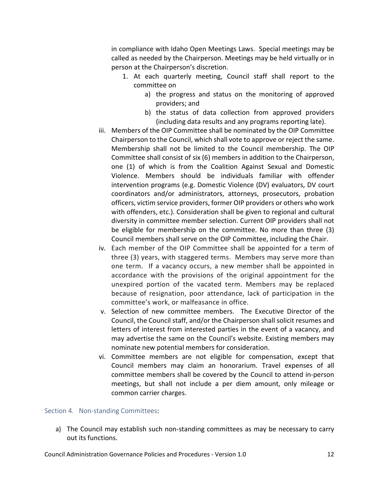in compliance with Idaho Open Meetings Laws. Special meetings may be called as needed by the Chairperson. Meetings may be held virtually or in person at the Chairperson's discretion.

- 1. At each quarterly meeting, Council staff shall report to the committee on
	- a) the progress and status on the monitoring of approved providers; and
	- b) the status of data collection from approved providers (including data results and any programs reporting late).
- iii. Members of the OIP Committee shall be nominated by the OIP Committee Chairperson to the Council, which shall vote to approve or reject the same. Membership shall not be limited to the Council membership. The OIP Committee shall consist of six (6) members in addition to the Chairperson, one (1) of which is from the Coalition Against Sexual and Domestic Violence. Members should be individuals familiar with offender intervention programs (e.g. Domestic Violence (DV) evaluators, DV court coordinators and/or administrators, attorneys, prosecutors, probation officers, victim service providers, former OIP providers or others who work with offenders, etc.). Consideration shall be given to regional and cultural diversity in committee member selection. Current OIP providers shall not be eligible for membership on the committee. No more than three (3) Council members shall serve on the OIP Committee, including the Chair.
- iv. Each member of the OIP Committee shall be appointed for a term of three (3) years, with staggered terms. Members may serve more than one term. If a vacancy occurs, a new member shall be appointed in accordance with the provisions of the original appointment for the unexpired portion of the vacated term. Members may be replaced because of resignation, poor attendance, lack of participation in the committee's work, or malfeasance in office.
- v. Selection of new committee members. The Executive Director of the Council, the Council staff, and/or the Chairperson shall solicit resumes and letters of interest from interested parties in the event of a vacancy, and may advertise the same on the Council's website. Existing members may nominate new potential members for consideration.
- vi. Committee members are not eligible for compensation, except that Council members may claim an honorarium. Travel expenses of all committee members shall be covered by the Council to attend in-person meetings, but shall not include a per diem amount, only mileage or common carrier charges.

#### <span id="page-11-0"></span>Section 4. Non-standing Committees:

a) The Council may establish such non-standing committees as may be necessary to carry out its functions.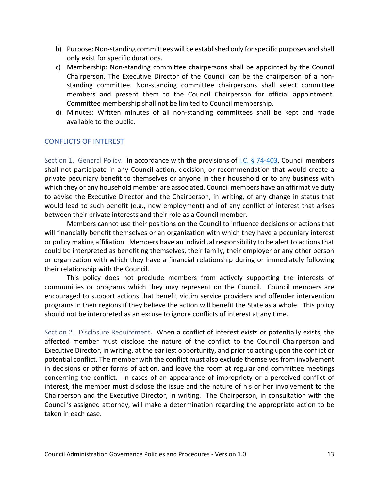- b) Purpose: Non-standing committees will be established only for specific purposes and shall only exist for specific durations.
- c) Membership: Non-standing committee chairpersons shall be appointed by the Council Chairperson. The Executive Director of the Council can be the chairperson of a nonstanding committee. Non-standing committee chairpersons shall select committee members and present them to the Council Chairperson for official appointment. Committee membership shall not be limited to Council membership.
- d) Minutes: Written minutes of all non-standing committees shall be kept and made available to the public.

# <span id="page-12-0"></span>CONFLICTS OF INTEREST

<span id="page-12-1"></span>Section 1. General Policy. In accordance with the provisions of [I.C. § 74-403,](https://legislature.idaho.gov/statutesrules/idstat/Title74/T74CH4/SECT74-403/) Council members shall not participate in any Council action, decision, or recommendation that would create a private pecuniary benefit to themselves or anyone in their household or to any business with which they or any household member are associated. Council members have an affirmative duty to advise the Executive Director and the Chairperson, in writing, of any change in status that would lead to such benefit (e.g., new employment) and of any conflict of interest that arises between their private interests and their role as a Council member.

Members cannot use their positions on the Council to influence decisions or actions that will financially benefit themselves or an organization with which they have a pecuniary interest or policy making affiliation. Members have an individual responsibility to be alert to actions that could be interpreted as benefiting themselves, their family, their employer or any other person or organization with which they have a financial relationship during or immediately following their relationship with the Council.

This policy does not preclude members from actively supporting the interests of communities or programs which they may represent on the Council. Council members are encouraged to support actions that benefit victim service providers and offender intervention programs in their regions if they believe the action will benefit the State as a whole. This policy should not be interpreted as an excuse to ignore conflicts of interest at any time.

<span id="page-12-2"></span>Section 2. Disclosure Requirement. When a conflict of interest exists or potentially exists, the affected member must disclose the nature of the conflict to the Council Chairperson and Executive Director, in writing, at the earliest opportunity, and prior to acting upon the conflict or potential conflict. The member with the conflict must also exclude themselves from involvement in decisions or other forms of action, and leave the room at regular and committee meetings concerning the conflict. In cases of an appearance of impropriety or a perceived conflict of interest, the member must disclose the issue and the nature of his or her involvement to the Chairperson and the Executive Director, in writing. The Chairperson, in consultation with the Council's assigned attorney, will make a determination regarding the appropriate action to be taken in each case.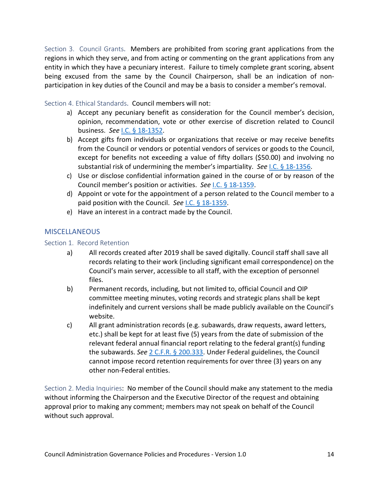<span id="page-13-0"></span>Section 3. Council Grants. Members are prohibited from scoring grant applications from the regions in which they serve, and from acting or commenting on the grant applications from any entity in which they have a pecuniary interest. Failure to timely complete grant scoring, absent being excused from the same by the Council Chairperson, shall be an indication of nonparticipation in key duties of the Council and may be a basis to consider a member's removal.

# <span id="page-13-1"></span>Section 4. Ethical Standards. Council members will not:

- a) Accept any pecuniary benefit as consideration for the Council member's decision, opinion, recommendation, vote or other exercise of discretion related to Council business. *See* I.C. [§ 18-1352.](https://legislature.idaho.gov/statutesrules/idstat/title18/t18ch13/sect18-1352/#:%7E:text=Idaho%20Statutes&text=It%20is%20no%20defense%20to,1352%2C%20added%201972%2C%20ch.)
- b) Accept gifts from individuals or organizations that receive or may receive benefits from the Council or vendors or potential vendors of services or goods to the Council, except for benefits not exceeding a value of fifty dollars (\$50.00) and involving no substantial risk of undermining the member's impartiality. *See* I.C. [§ 18-1356.](https://legislature.idaho.gov/statutesrules/idstat/title18/t18ch13/sect18-1356/)
- c) Use or disclose confidential information gained in the course of or by reason of the Council member's position or activities. *See* I.C. [§ 18-1359.](https://legislature.idaho.gov/statutesrules/idstat/title18/t18ch13/sect18-1359/)
- d) Appoint or vote for the appointment of a person related to the Council member to a paid position with the Council. *See* I.C. [§ 18-1359.](https://legislature.idaho.gov/statutesrules/idstat/title18/t18ch13/sect18-1359/)
- e) Have an interest in a contract made by the Council.

# <span id="page-13-2"></span>**MISCELLANEOUS**

# <span id="page-13-3"></span>Section 1. Record Retention

- a) All records created after 2019 shall be saved digitally. Council staff shall save all records relating to their work (including significant email correspondence) on the Council's main server, accessible to all staff, with the exception of personnel files.
- b) Permanent records, including, but not limited to, official Council and OIP committee meeting minutes, voting records and strategic plans shall be kept indefinitely and current versions shall be made publicly available on the Council's website.
- c) All grant administration records (e.g. subawards, draw requests, award letters, etc.) shall be kept for at least five (5) years from the date of submission of the relevant federal annual financial report relating to the federal grant(s) funding the subawards. *See* [2 C.F.R. § 200.333.](https://www.ecfr.gov/current/title-2/subtitle-A/chapter-II/part-200#200.333) Under Federal guidelines, the Council cannot impose record retention requirements for over three (3) years on any other non-Federal entities.

<span id="page-13-4"></span>Section 2. Media Inquiries: No member of the Council should make any statement to the media without informing the Chairperson and the Executive Director of the request and obtaining approval prior to making any comment; members may not speak on behalf of the Council without such approval.